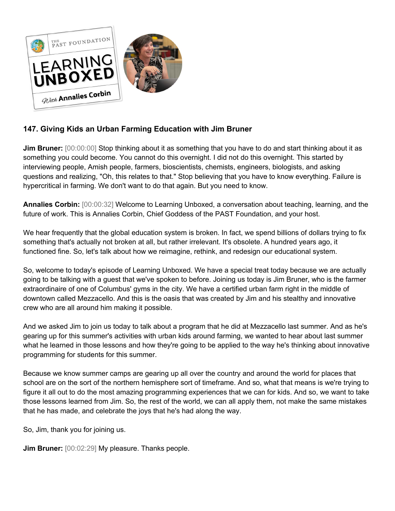

## **147. Giving Kids an Urban Farming Education with Jim Bruner**

**Jim Bruner:**  $[00:00:00]$  Stop thinking about it as something that you have to do and start thinking about it as something you could become. You cannot do this overnight. I did not do this overnight. This started by interviewing people, Amish people, farmers, bioscientists, chemists, engineers, biologists, and asking questions and realizing, "Oh, this relates to that." Stop believing that you have to know everything. Failure is hypercritical in farming. We don't want to do that again. But you need to know.

**Annalies Corbin:** [00:00:32] Welcome to Learning Unboxed, a conversation about teaching, learning, and the future of work. This is Annalies Corbin, Chief Goddess of the PAST Foundation, and your host.

We hear frequently that the global education system is broken. In fact, we spend billions of dollars trying to fix something that's actually not broken at all, but rather irrelevant. It's obsolete. A hundred years ago, it functioned fine. So, let's talk about how we reimagine, rethink, and redesign our educational system.

So, welcome to today's episode of Learning Unboxed. We have a special treat today because we are actually going to be talking with a guest that we've spoken to before. Joining us today is Jim Bruner, who is the farmer extraordinaire of one of Columbus' gyms in the city. We have a certified urban farm right in the middle of downtown called Mezzacello. And this is the oasis that was created by Jim and his stealthy and innovative crew who are all around him making it possible.

And we asked Jim to join us today to talk about a program that he did at Mezzacello last summer. And as he's gearing up for this summer's activities with urban kids around farming, we wanted to hear about last summer what he learned in those lessons and how they're going to be applied to the way he's thinking about innovative programming for students for this summer.

Because we know summer camps are gearing up all over the country and around the world for places that school are on the sort of the northern hemisphere sort of timeframe. And so, what that means is we're trying to figure it all out to do the most amazing programming experiences that we can for kids. And so, we want to take those lessons learned from Jim. So, the rest of the world, we can all apply them, not make the same mistakes that he has made, and celebrate the joys that he's had along the way.

So, Jim, thank you for joining us.

**Jim Bruner:** [00:02:29] My pleasure. Thanks people.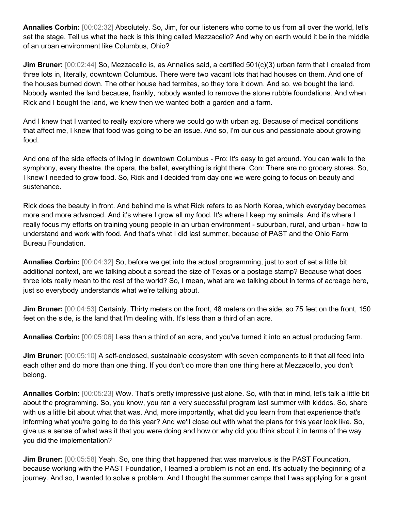**Annalies Corbin:** [00:02:32] Absolutely. So, Jim, for our listeners who come to us from all over the world, let's set the stage. Tell us what the heck is this thing called Mezzacello? And why on earth would it be in the middle of an urban environment like Columbus, Ohio?

**Jim Bruner:** [00:02:44] So, Mezzacello is, as Annalies said, a certified 501(c)(3) urban farm that I created from three lots in, literally, downtown Columbus. There were two vacant lots that had houses on them. And one of the houses burned down. The other house had termites, so they tore it down. And so, we bought the land. Nobody wanted the land because, frankly, nobody wanted to remove the stone rubble foundations. And when Rick and I bought the land, we knew then we wanted both a garden and a farm.

And I knew that I wanted to really explore where we could go with urban ag. Because of medical conditions that affect me, I knew that food was going to be an issue. And so, I'm curious and passionate about growing food.

And one of the side effects of living in downtown Columbus - Pro: It's easy to get around. You can walk to the symphony, every theatre, the opera, the ballet, everything is right there. Con: There are no grocery stores. So, I knew I needed to grow food. So, Rick and I decided from day one we were going to focus on beauty and sustenance.

Rick does the beauty in front. And behind me is what Rick refers to as North Korea, which everyday becomes more and more advanced. And it's where I grow all my food. It's where I keep my animals. And it's where I really focus my efforts on training young people in an urban environment - suburban, rural, and urban - how to understand and work with food. And that's what I did last summer, because of PAST and the Ohio Farm Bureau Foundation.

**Annalies Corbin:** [00:04:32] So, before we get into the actual programming, just to sort of set a little bit additional context, are we talking about a spread the size of Texas or a postage stamp? Because what does three lots really mean to the rest of the world? So, I mean, what are we talking about in terms of acreage here, just so everybody understands what we're talking about.

**Jim Bruner:** [00:04:53] Certainly. Thirty meters on the front, 48 meters on the side, so 75 feet on the front, 150 feet on the side, is the land that I'm dealing with. It's less than a third of an acre.

**Annalies Corbin:** [00:05:06] Less than a third of an acre, and you've turned it into an actual producing farm.

**Jim Bruner:** [00:05:10] A self-enclosed, sustainable ecosystem with seven components to it that all feed into each other and do more than one thing. If you don't do more than one thing here at Mezzacello, you don't belong.

**Annalies Corbin:** [00:05:23] Wow. That's pretty impressive just alone. So, with that in mind, let's talk a little bit about the programming. So, you know, you ran a very successful program last summer with kiddos. So, share with us a little bit about what that was. And, more importantly, what did you learn from that experience that's informing what you're going to do this year? And we'll close out with what the plans for this year look like. So, give us a sense of what was it that you were doing and how or why did you think about it in terms of the way you did the implementation?

**Jim Bruner:** [00:05:58] Yeah. So, one thing that happened that was marvelous is the PAST Foundation, because working with the PAST Foundation, I learned a problem is not an end. It's actually the beginning of a journey. And so, I wanted to solve a problem. And I thought the summer camps that I was applying for a grant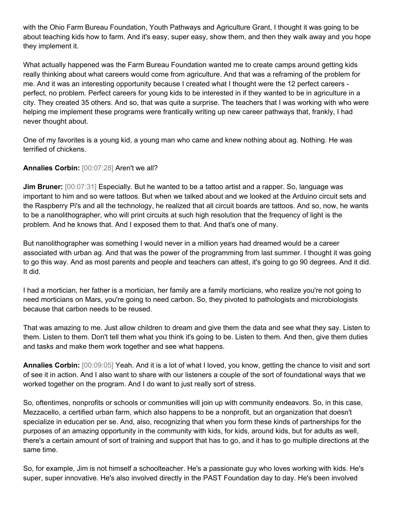with the Ohio Farm Bureau Foundation, Youth Pathways and Agriculture Grant, I thought it was going to be about teaching kids how to farm. And it's easy, super easy, show them, and then they walk away and you hope they implement it.

What actually happened was the Farm Bureau Foundation wanted me to create camps around getting kids really thinking about what careers would come from agriculture. And that was a reframing of the problem for me. And it was an interesting opportunity because I created what I thought were the 12 perfect careers perfect, no problem. Perfect careers for young kids to be interested in if they wanted to be in agriculture in a city. They created 35 others. And so, that was quite a surprise. The teachers that I was working with who were helping me implement these programs were frantically writing up new career pathways that, frankly, I had never thought about.

One of my favorites is a young kid, a young man who came and knew nothing about ag. Nothing. He was terrified of chickens.

## **Annalies Corbin:** [00:07:28] Aren't we all?

**Jim Bruner:** [00:07:31] Especially. But he wanted to be a tattoo artist and a rapper. So, language was important to him and so were tattoos. But when we talked about and we looked at the Arduino circuit sets and the Raspberry Pi's and all the technology, he realized that all circuit boards are tattoos. And so, now, he wants to be a nanolithographer, who will print circuits at such high resolution that the frequency of light is the problem. And he knows that. And I exposed them to that. And that's one of many.

But nanolithographer was something I would never in a million years had dreamed would be a career associated with urban ag. And that was the power of the programming from last summer. I thought it was going to go this way. And as most parents and people and teachers can attest, it's going to go 90 degrees. And it did. It did.

I had a mortician, her father is a mortician, her family are a family morticians, who realize you're not going to need morticians on Mars, you're going to need carbon. So, they pivoted to pathologists and microbiologists because that carbon needs to be reused.

That was amazing to me. Just allow children to dream and give them the data and see what they say. Listen to them. Listen to them. Don't tell them what you think it's going to be. Listen to them. And then, give them duties and tasks and make them work together and see what happens.

**Annalies Corbin:** [00:09:05] Yeah. And it is a lot of what I loved, you know, getting the chance to visit and sort of see it in action. And I also want to share with our listeners a couple of the sort of foundational ways that we worked together on the program. And I do want to just really sort of stress.

So, oftentimes, nonprofits or schools or communities will join up with community endeavors. So, in this case, Mezzacello, a certified urban farm, which also happens to be a nonprofit, but an organization that doesn't specialize in education per se. And, also, recognizing that when you form these kinds of partnerships for the purposes of an amazing opportunity in the community with kids, for kids, around kids, but for adults as well, there's a certain amount of sort of training and support that has to go, and it has to go multiple directions at the same time.

So, for example, Jim is not himself a schoolteacher. He's a passionate guy who loves working with kids. He's super, super innovative. He's also involved directly in the PAST Foundation day to day. He's been involved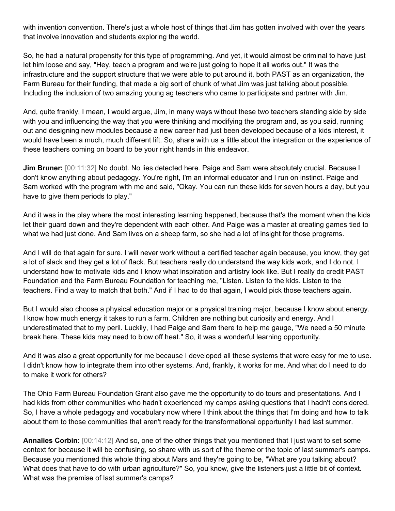with invention convention. There's just a whole host of things that Jim has gotten involved with over the years that involve innovation and students exploring the world.

So, he had a natural propensity for this type of programming. And yet, it would almost be criminal to have just let him loose and say, "Hey, teach a program and we're just going to hope it all works out." It was the infrastructure and the support structure that we were able to put around it, both PAST as an organization, the Farm Bureau for their funding, that made a big sort of chunk of what Jim was just talking about possible. Including the inclusion of two amazing young ag teachers who came to participate and partner with Jim.

And, quite frankly, I mean, I would argue, Jim, in many ways without these two teachers standing side by side with you and influencing the way that you were thinking and modifying the program and, as you said, running out and designing new modules because a new career had just been developed because of a kids interest, it would have been a much, much different lift. So, share with us a little about the integration or the experience of these teachers coming on board to be your right hands in this endeavor.

**Jim Bruner:** [00:11:32] No doubt. No lies detected here. Paige and Sam were absolutely crucial. Because I don't know anything about pedagogy. You're right, I'm an informal educator and I run on instinct. Paige and Sam worked with the program with me and said, "Okay. You can run these kids for seven hours a day, but you have to give them periods to play."

And it was in the play where the most interesting learning happened, because that's the moment when the kids let their guard down and they're dependent with each other. And Paige was a master at creating games tied to what we had just done. And Sam lives on a sheep farm, so she had a lot of insight for those programs.

And I will do that again for sure. I will never work without a certified teacher again because, you know, they get a lot of slack and they get a lot of flack. But teachers really do understand the way kids work, and I do not. I understand how to motivate kids and I know what inspiration and artistry look like. But I really do credit PAST Foundation and the Farm Bureau Foundation for teaching me, "Listen. Listen to the kids. Listen to the teachers. Find a way to match that both." And if I had to do that again, I would pick those teachers again.

But I would also choose a physical education major or a physical training major, because I know about energy. I know how much energy it takes to run a farm. Children are nothing but curiosity and energy. And I underestimated that to my peril. Luckily, I had Paige and Sam there to help me gauge, "We need a 50 minute break here. These kids may need to blow off heat." So, it was a wonderful learning opportunity.

And it was also a great opportunity for me because I developed all these systems that were easy for me to use. I didn't know how to integrate them into other systems. And, frankly, it works for me. And what do I need to do to make it work for others?

The Ohio Farm Bureau Foundation Grant also gave me the opportunity to do tours and presentations. And I had kids from other communities who hadn't experienced my camps asking questions that I hadn't considered. So, I have a whole pedagogy and vocabulary now where I think about the things that I'm doing and how to talk about them to those communities that aren't ready for the transformational opportunity I had last summer.

**Annalies Corbin:** [00:14:12] And so, one of the other things that you mentioned that I just want to set some context for because it will be confusing, so share with us sort of the theme or the topic of last summer's camps. Because you mentioned this whole thing about Mars and they're going to be, "What are you talking about? What does that have to do with urban agriculture?" So, you know, give the listeners just a little bit of context. What was the premise of last summer's camps?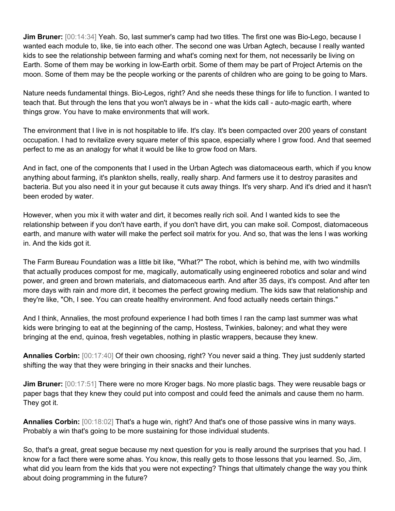**Jim Bruner:** [00:14:34] Yeah. So, last summer's camp had two titles. The first one was Bio-Lego, because I wanted each module to, like, tie into each other. The second one was Urban Agtech, because I really wanted kids to see the relationship between farming and what's coming next for them, not necessarily be living on Earth. Some of them may be working in low-Earth orbit. Some of them may be part of Project Artemis on the moon. Some of them may be the people working or the parents of children who are going to be going to Mars.

Nature needs fundamental things. Bio-Legos, right? And she needs these things for life to function. I wanted to teach that. But through the lens that you won't always be in - what the kids call - auto-magic earth, where things grow. You have to make environments that will work.

The environment that I live in is not hospitable to life. It's clay. It's been compacted over 200 years of constant occupation. I had to revitalize every square meter of this space, especially where I grow food. And that seemed perfect to me as an analogy for what it would be like to grow food on Mars.

And in fact, one of the components that I used in the Urban Agtech was diatomaceous earth, which if you know anything about farming, it's plankton shells, really, really sharp. And farmers use it to destroy parasites and bacteria. But you also need it in your gut because it cuts away things. It's very sharp. And it's dried and it hasn't been eroded by water.

However, when you mix it with water and dirt, it becomes really rich soil. And I wanted kids to see the relationship between if you don't have earth, if you don't have dirt, you can make soil. Compost, diatomaceous earth, and manure with water will make the perfect soil matrix for you. And so, that was the lens I was working in. And the kids got it.

The Farm Bureau Foundation was a little bit like, "What?" The robot, which is behind me, with two windmills that actually produces compost for me, magically, automatically using engineered robotics and solar and wind power, and green and brown materials, and diatomaceous earth. And after 35 days, it's compost. And after ten more days with rain and more dirt, it becomes the perfect growing medium. The kids saw that relationship and they're like, "Oh, I see. You can create healthy environment. And food actually needs certain things."

And I think, Annalies, the most profound experience I had both times I ran the camp last summer was what kids were bringing to eat at the beginning of the camp, Hostess, Twinkies, baloney; and what they were bringing at the end, quinoa, fresh vegetables, nothing in plastic wrappers, because they knew.

**Annalies Corbin:** [00:17:40] Of their own choosing, right? You never said a thing. They just suddenly started shifting the way that they were bringing in their snacks and their lunches.

**Jim Bruner:** [00:17:51] There were no more Kroger bags. No more plastic bags. They were reusable bags or paper bags that they knew they could put into compost and could feed the animals and cause them no harm. They got it.

**Annalies Corbin:** [00:18:02] That's a huge win, right? And that's one of those passive wins in many ways. Probably a win that's going to be more sustaining for those individual students.

So, that's a great, great segue because my next question for you is really around the surprises that you had. I know for a fact there were some ahas. You know, this really gets to those lessons that you learned. So, Jim, what did you learn from the kids that you were not expecting? Things that ultimately change the way you think about doing programming in the future?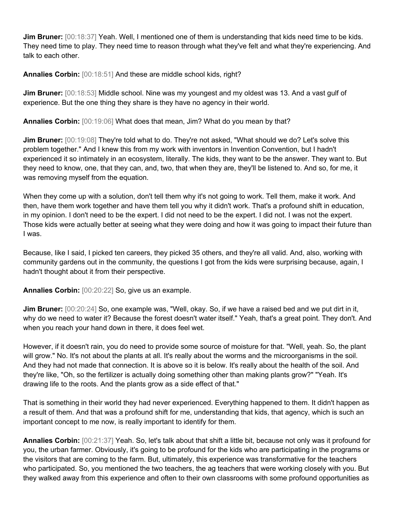**Jim Bruner:** [00:18:37] Yeah. Well, I mentioned one of them is understanding that kids need time to be kids. They need time to play. They need time to reason through what they've felt and what they're experiencing. And talk to each other.

**Annalies Corbin:** [00:18:51] And these are middle school kids, right?

**Jim Bruner:** [00:18:53] Middle school. Nine was my youngest and my oldest was 13. And a vast gulf of experience. But the one thing they share is they have no agency in their world.

**Annalies Corbin:** [00:19:06] What does that mean, Jim? What do you mean by that?

Jim Bruner: [00:19:08] They're told what to do. They're not asked, "What should we do? Let's solve this problem together." And I knew this from my work with inventors in Invention Convention, but I hadn't experienced it so intimately in an ecosystem, literally. The kids, they want to be the answer. They want to. But they need to know, one, that they can, and, two, that when they are, they'll be listened to. And so, for me, it was removing myself from the equation.

When they come up with a solution, don't tell them why it's not going to work. Tell them, make it work. And then, have them work together and have them tell you why it didn't work. That's a profound shift in education, in my opinion. I don't need to be the expert. I did not need to be the expert. I did not. I was not the expert. Those kids were actually better at seeing what they were doing and how it was going to impact their future than I was.

Because, like I said, I picked ten careers, they picked 35 others, and they're all valid. And, also, working with community gardens out in the community, the questions I got from the kids were surprising because, again, I hadn't thought about it from their perspective.

**Annalies Corbin:** [00:20:22] So, give us an example.

**Jim Bruner:** [00:20:24] So, one example was, "Well, okay. So, if we have a raised bed and we put dirt in it, why do we need to water it? Because the forest doesn't water itself." Yeah, that's a great point. They don't. And when you reach your hand down in there, it does feel wet.

However, if it doesn't rain, you do need to provide some source of moisture for that. "Well, yeah. So, the plant will grow." No. It's not about the plants at all. It's really about the worms and the microorganisms in the soil. And they had not made that connection. It is above so it is below. It's really about the health of the soil. And they're like, "Oh, so the fertilizer is actually doing something other than making plants grow?" "Yeah. It's drawing life to the roots. And the plants grow as a side effect of that."

That is something in their world they had never experienced. Everything happened to them. It didn't happen as a result of them. And that was a profound shift for me, understanding that kids, that agency, which is such an important concept to me now, is really important to identify for them.

**Annalies Corbin:** [00:21:37] Yeah. So, let's talk about that shift a little bit, because not only was it profound for you, the urban farmer. Obviously, it's going to be profound for the kids who are participating in the programs or the visitors that are coming to the farm. But, ultimately, this experience was transformative for the teachers who participated. So, you mentioned the two teachers, the ag teachers that were working closely with you. But they walked away from this experience and often to their own classrooms with some profound opportunities as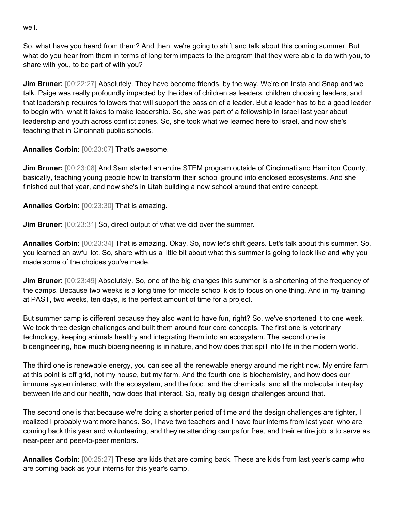well.

So, what have you heard from them? And then, we're going to shift and talk about this coming summer. But what do you hear from them in terms of long term impacts to the program that they were able to do with you, to share with you, to be part of with you?

**Jim Bruner:** [00:22:27] Absolutely. They have become friends, by the way. We're on Insta and Snap and we talk. Paige was really profoundly impacted by the idea of children as leaders, children choosing leaders, and that leadership requires followers that will support the passion of a leader. But a leader has to be a good leader to begin with, what it takes to make leadership. So, she was part of a fellowship in Israel last year about leadership and youth across conflict zones. So, she took what we learned here to Israel, and now she's teaching that in Cincinnati public schools.

**Annalies Corbin:** [00:23:07] That's awesome.

**Jim Bruner:** [00:23:08] And Sam started an entire STEM program outside of Cincinnati and Hamilton County, basically, teaching young people how to transform their school ground into enclosed ecosystems. And she finished out that year, and now she's in Utah building a new school around that entire concept.

**Annalies Corbin:** [00:23:30] That is amazing.

**Jim Bruner:** [00:23:31] So, direct output of what we did over the summer.

**Annalies Corbin:** [00:23:34] That is amazing. Okay. So, now let's shift gears. Let's talk about this summer. So, you learned an awful lot. So, share with us a little bit about what this summer is going to look like and why you made some of the choices you've made.

**Jim Bruner:** [00:23:49] Absolutely. So, one of the big changes this summer is a shortening of the frequency of the camps. Because two weeks is a long time for middle school kids to focus on one thing. And in my training at PAST, two weeks, ten days, is the perfect amount of time for a project.

But summer camp is different because they also want to have fun, right? So, we've shortened it to one week. We took three design challenges and built them around four core concepts. The first one is veterinary technology, keeping animals healthy and integrating them into an ecosystem. The second one is bioengineering, how much bioengineering is in nature, and how does that spill into life in the modern world.

The third one is renewable energy, you can see all the renewable energy around me right now. My entire farm at this point is off grid, not my house, but my farm. And the fourth one is biochemistry, and how does our immune system interact with the ecosystem, and the food, and the chemicals, and all the molecular interplay between life and our health, how does that interact. So, really big design challenges around that.

The second one is that because we're doing a shorter period of time and the design challenges are tighter, I realized I probably want more hands. So, I have two teachers and I have four interns from last year, who are coming back this year and volunteering, and they're attending camps for free, and their entire job is to serve as near-peer and peer-to-peer mentors.

**Annalies Corbin:** [00:25:27] These are kids that are coming back. These are kids from last year's camp who are coming back as your interns for this year's camp.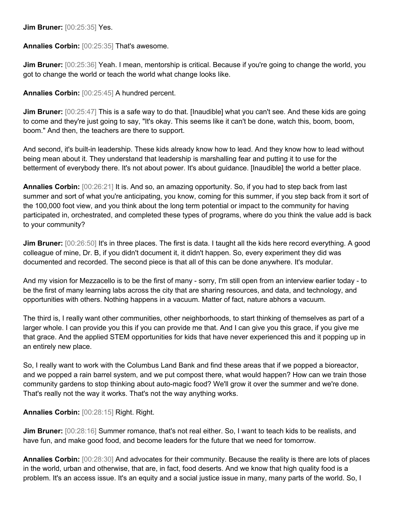**Jim Bruner:** [00:25:35] Yes.

**Annalies Corbin:** [00:25:35] That's awesome.

**Jim Bruner:** [00:25:36] Yeah. I mean, mentorship is critical. Because if you're going to change the world, you got to change the world or teach the world what change looks like.

**Annalies Corbin:** [00:25:45] A hundred percent.

**Jim Bruner:** [00:25:47] This is a safe way to do that. [Inaudible] what you can't see. And these kids are going to come and they're just going to say, "It's okay. This seems like it can't be done, watch this, boom, boom, boom." And then, the teachers are there to support.

And second, it's built-in leadership. These kids already know how to lead. And they know how to lead without being mean about it. They understand that leadership is marshalling fear and putting it to use for the betterment of everybody there. It's not about power. It's about guidance. [Inaudible] the world a better place.

**Annalies Corbin:** [00:26:21] It is. And so, an amazing opportunity. So, if you had to step back from last summer and sort of what you're anticipating, you know, coming for this summer, if you step back from it sort of the 100,000 foot view, and you think about the long term potential or impact to the community for having participated in, orchestrated, and completed these types of programs, where do you think the value add is back to your community?

**Jim Bruner:** [00:26:50] It's in three places. The first is data. I taught all the kids here record everything. A good colleague of mine, Dr. B, if you didn't document it, it didn't happen. So, every experiment they did was documented and recorded. The second piece is that all of this can be done anywhere. It's modular.

And my vision for Mezzacello is to be the first of many - sorry, I'm still open from an interview earlier today - to be the first of many learning labs across the city that are sharing resources, and data, and technology, and opportunities with others. Nothing happens in a vacuum. Matter of fact, nature abhors a vacuum.

The third is, I really want other communities, other neighborhoods, to start thinking of themselves as part of a larger whole. I can provide you this if you can provide me that. And I can give you this grace, if you give me that grace. And the applied STEM opportunities for kids that have never experienced this and it popping up in an entirely new place.

So, I really want to work with the Columbus Land Bank and find these areas that if we popped a bioreactor, and we popped a rain barrel system, and we put compost there, what would happen? How can we train those community gardens to stop thinking about auto-magic food? We'll grow it over the summer and we're done. That's really not the way it works. That's not the way anything works.

**Annalies Corbin:** [00:28:15] Right. Right.

**Jim Bruner:** [00:28:16] Summer romance, that's not real either. So, I want to teach kids to be realists, and have fun, and make good food, and become leaders for the future that we need for tomorrow.

**Annalies Corbin:** [00:28:30] And advocates for their community. Because the reality is there are lots of places in the world, urban and otherwise, that are, in fact, food deserts. And we know that high quality food is a problem. It's an access issue. It's an equity and a social justice issue in many, many parts of the world. So, I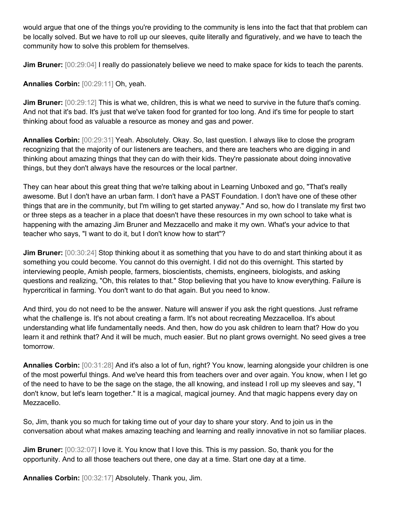would argue that one of the things you're providing to the community is lens into the fact that that problem can be locally solved. But we have to roll up our sleeves, quite literally and figuratively, and we have to teach the community how to solve this problem for themselves.

**Jim Bruner:** [00:29:04] I really do passionately believe we need to make space for kids to teach the parents.

**Annalies Corbin:** [00:29:11] Oh, yeah.

**Jim Bruner:**  $[00:29:12]$  This is what we, children, this is what we need to survive in the future that's coming. And not that it's bad. It's just that we've taken food for granted for too long. And it's time for people to start thinking about food as valuable a resource as money and gas and power.

**Annalies Corbin:** [00:29:31] Yeah. Absolutely. Okay. So, last question. I always like to close the program recognizing that the majority of our listeners are teachers, and there are teachers who are digging in and thinking about amazing things that they can do with their kids. They're passionate about doing innovative things, but they don't always have the resources or the local partner.

They can hear about this great thing that we're talking about in Learning Unboxed and go, "That's really awesome. But I don't have an urban farm. I don't have a PAST Foundation. I don't have one of these other things that are in the community, but I'm willing to get started anyway." And so, how do I translate my first two or three steps as a teacher in a place that doesn't have these resources in my own school to take what is happening with the amazing Jim Bruner and Mezzacello and make it my own. What's your advice to that teacher who says, "I want to do it, but I don't know how to start"?

**Jim Bruner:** [00:30:24] Stop thinking about it as something that you have to do and start thinking about it as something you could become. You cannot do this overnight. I did not do this overnight. This started by interviewing people, Amish people, farmers, bioscientists, chemists, engineers, biologists, and asking questions and realizing, "Oh, this relates to that." Stop believing that you have to know everything. Failure is hypercritical in farming. You don't want to do that again. But you need to know.

And third, you do not need to be the answer. Nature will answer if you ask the right questions. Just reframe what the challenge is. It's not about creating a farm. It's not about recreating Mezzacelloa. It's about understanding what life fundamentally needs. And then, how do you ask children to learn that? How do you learn it and rethink that? And it will be much, much easier. But no plant grows overnight. No seed gives a tree tomorrow.

**Annalies Corbin:** [00:31:28] And it's also a lot of fun, right? You know, learning alongside your children is one of the most powerful things. And we've heard this from teachers over and over again. You know, when I let go of the need to have to be the sage on the stage, the all knowing, and instead I roll up my sleeves and say, "I don't know, but let's learn together." It is a magical, magical journey. And that magic happens every day on Mezzacello.

So, Jim, thank you so much for taking time out of your day to share your story. And to join us in the conversation about what makes amazing teaching and learning and really innovative in not so familiar places.

**Jim Bruner:** [00:32:07] I love it. You know that I love this. This is my passion. So, thank you for the opportunity. And to all those teachers out there, one day at a time. Start one day at a time.

**Annalies Corbin:** [00:32:17] Absolutely. Thank you, Jim.